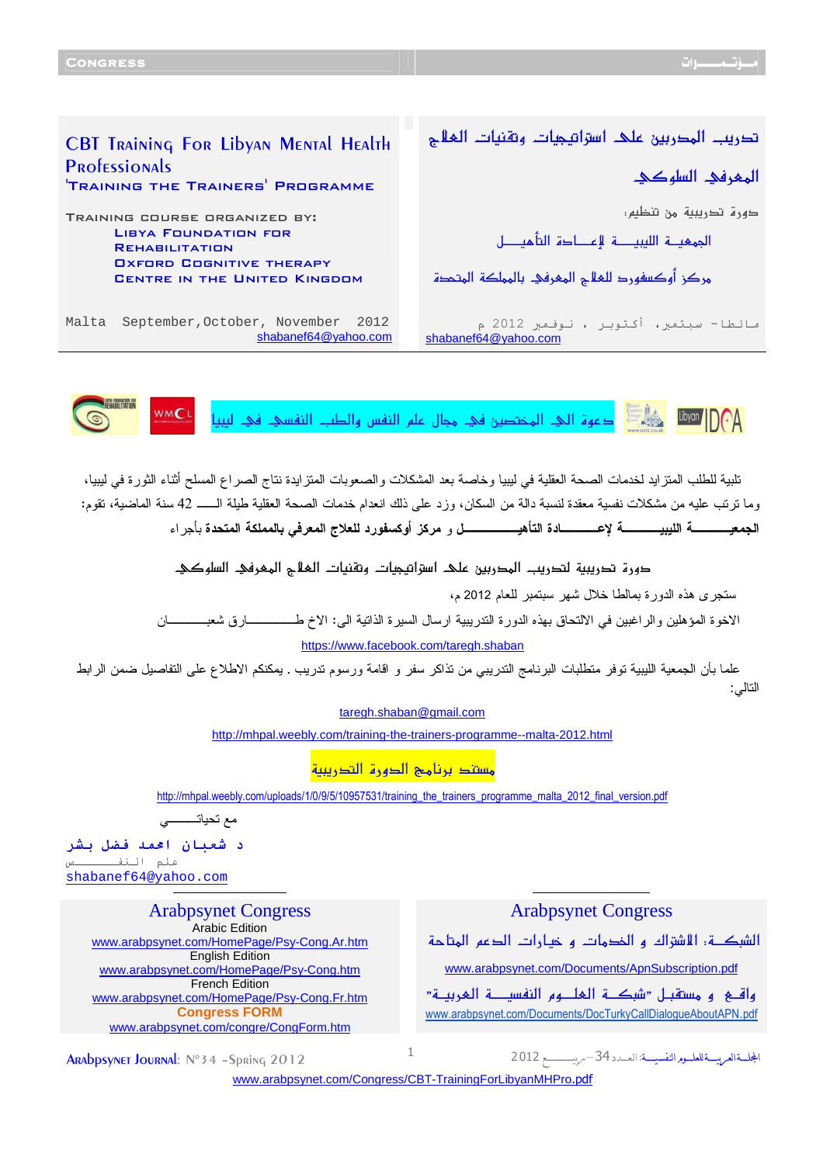

Ϊ

تلبية للطلب المتزايد لخدمات الصحة العقلية في ليبيا وخاصة بعد المشكلات والصعوبات المتزايدة نتاج الصراع المسلح أثناء الثورة في ليبيا، وما ترتب عليه من مشكلات نفسية معقدة لنسبة دالة من السكان، وزد على ذلك انعدام خدمات الصحة العقلية طيلة ال ــ 42 سنة الماضية، تقوم : الجمعيــــة الليبيــــة لإعــــادة التأهيــــــل و مركز أوكسفورد للعلاج المعرفي بالمملكة المتحدة بأجراء

دورة تدريبية لتدريب الهدربين على اسراتيمات وتقنيات الملأح الهمرفي السلوكي

ستجرى هذه الدورة بمالطا خلال شهر سبتمبر للعام 2012 م،

الاخوة المؤهلين والراغبين في الالتحاق بهذه الدورة التدريبية ارسال السيرة الذاتية الى : الاخ طـــــارق شعبــــان <https://www.facebook.com/taregh.shaban>

علما بأن الجمعية الليبية توفر متطلبات البرنامج التدريبي من تذاكر سفر و اقامة ورسوم تدريب . يمكنكم الاطلاع على التفاصيل ضمن الرابط التالي :

taregh.shaban@gmail.com

<http://mhpal.weebly.com/training-the-trainers-programme--malta-2012.html>

مستند برنامج الدهرة التدريبية

[http://mhpal.weebly.com/uploads/1/0/9/5/10957531/training\\_the\\_trainers\\_programme\\_malta\\_2012\\_final\\_version.pdf](http://mhpal.weebly.com/uploads/1/0/9/5/10957531/training_the_trainers_programme_malta_2012_final_version.pdf)

مع تحياتـــي

د شعبان احمد فضل بشر علم اللنفـــ shabanef64@yahoo.com

> Arabpsynet Congress Arabpsynet Congress Arabic Edition <www.arabpsynet.com/HomePage/Psy-Cong.Ar.htm> English Edition <www.arabpsynet.com/HomePage/Psy-Cong.htm> French Edition <www.arabpsynet.com/HomePage/Psy-Cong.Fr.htm> **Congress FORM** <www.arabpsynet.com/congre/CongForm.htm>

الشبكــــة: الأشتراك و الخدمات و خمـــارات الدعم المتاحة

<www.arabpsynet.com/Documents/ApnSubscription.pdf>

واقـــع و مستقبــل «شبكـــة الـعلـــوم النفســــة الـعربيــة» [www.arabpsynet.com/Documents](www.arabpsynet.com/Documents/DocTurkyCallDialogueAboutAPN.pdf)/DocTurkyCallDialogueAboutAPN.pdf

ARADDSVNET JOURNAL: Nº34 -Spring 2012

المجلّــــةالعريســـةللعلـــومرالنفسيــــة

[www.arabpsynet.com/Congress/CBT-TrainingForLibyanMHPro](www.arabpsynet.com/Congress/CBT-TrainingForLibyanMHPro.pdf).pdf